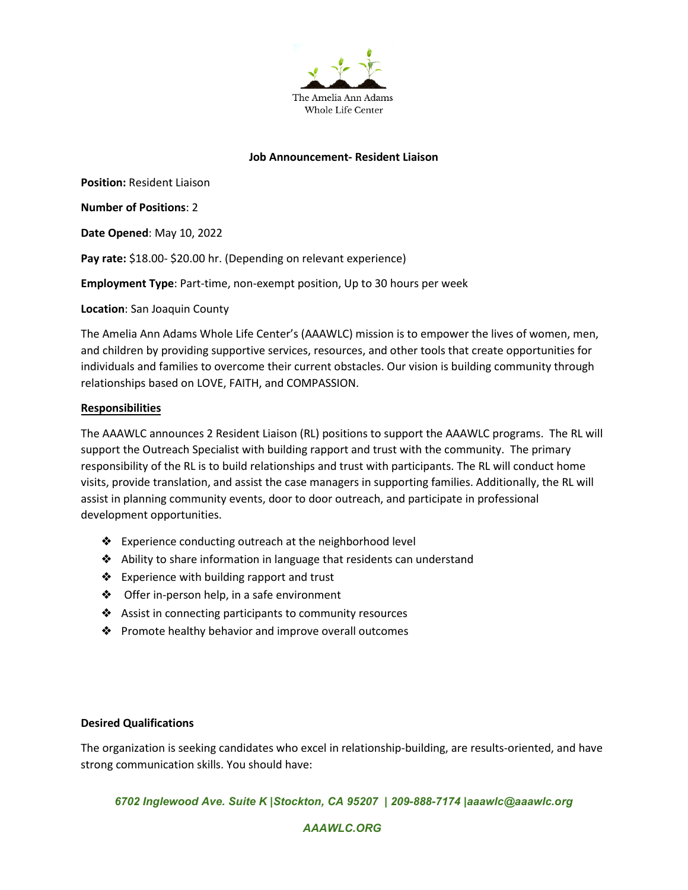

## **Job Announcement- Resident Liaison**

**Position:** Resident Liaison

**Number of Positions**: 2

**Date Opened**: May 10, 2022

Pay rate: \$18.00- \$20.00 hr. (Depending on relevant experience)

**Employment Type**: Part-time, non-exempt position, Up to 30 hours per week

**Location**: San Joaquin County

The Amelia Ann Adams Whole Life Center's (AAAWLC) mission is to empower the lives of women, men, and children by providing supportive services, resources, and other tools that create opportunities for individuals and families to overcome their current obstacles. Our vision is building community through relationships based on LOVE, FAITH, and COMPASSION.

## **Responsibilities**

The AAAWLC announces 2 Resident Liaison (RL) positions to support the AAAWLC programs. The RL will support the Outreach Specialist with building rapport and trust with the community. The primary responsibility of the RL is to build relationships and trust with participants. The RL will conduct home visits, provide translation, and assist the case managers in supporting families. Additionally, the RL will assist in planning community events, door to door outreach, and participate in professional development opportunities.

- ❖ Experience conducting outreach at the neighborhood level
- ❖ Ability to share information in language that residents can understand
- ❖ Experience with building rapport and trust
- ❖ Offer in-person help, in a safe environment
- ❖ Assist in connecting participants to community resources
- ❖ Promote healthy behavior and improve overall outcomes

## **Desired Qualifications**

The organization is seeking candidates who excel in relationship-building, are results-oriented, and have strong communication skills. You should have:

*6702 Inglewood Ave. Suite K |Stockton, CA 95207 | 209-888-7174 |aaawlc@aaawlc.org*

*AAAWLC.ORG*